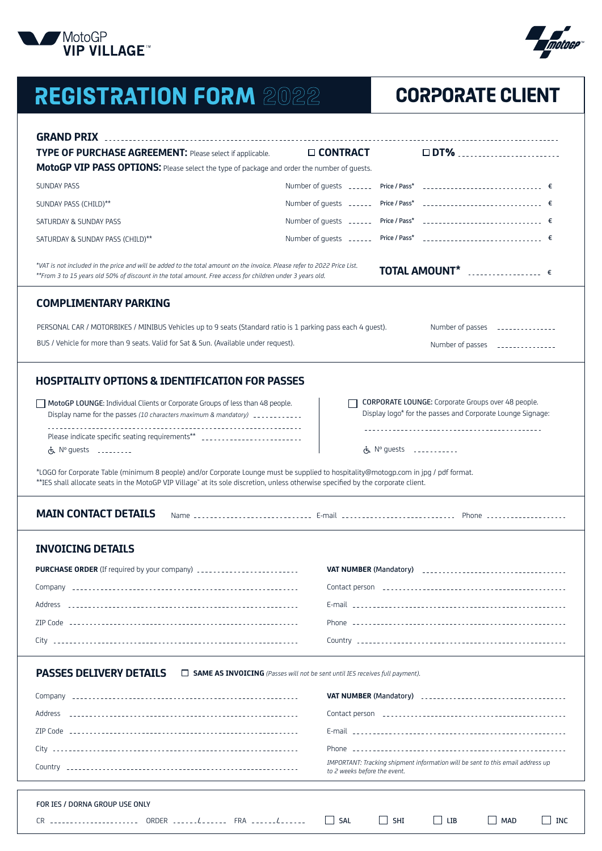

# **REGISTRATION FORM 2022 CORPORATE CLIENT**

| TYPE OF PURCHASE AGREEMENT: Please select if applicable.                                                                                                                                                                                                                  | $\square$ CONTRACT                                                           | $\square$ DT%                                                                                                                                                            |
|---------------------------------------------------------------------------------------------------------------------------------------------------------------------------------------------------------------------------------------------------------------------------|------------------------------------------------------------------------------|--------------------------------------------------------------------------------------------------------------------------------------------------------------------------|
| MotoGP VIP PASS OPTIONS: Please select the type of package and order the number of guests.                                                                                                                                                                                |                                                                              |                                                                                                                                                                          |
| <b>SUNDAY PASS</b>                                                                                                                                                                                                                                                        | Number of quests ______ Price / Pass*                                        |                                                                                                                                                                          |
| SUNDAY PASS (CHILD)**                                                                                                                                                                                                                                                     |                                                                              | Number of guests ______ Price / Pass* _____________________________ €                                                                                                    |
| SATURDAY & SUNDAY PASS                                                                                                                                                                                                                                                    | Number of guests ______ Price / Pass* _____________________________ €        |                                                                                                                                                                          |
| SATURDAY & SUNDAY PASS (CHILD)**                                                                                                                                                                                                                                          |                                                                              | Number of guests _______ Price / Pass* _______________________________ €                                                                                                 |
| *VAT is not included in the price and will be added to the total amount on the invoice. Please refer to 2022 Price List.<br>**From 3 to 15 years old 50% of discount in the total amount. Free access for children under 3 years old.                                     |                                                                              | <b>TOTAL AMOUNT*</b> $\ldots$                                                                                                                                            |
| <b>COMPLIMENTARY PARKING</b>                                                                                                                                                                                                                                              |                                                                              |                                                                                                                                                                          |
| PERSONAL CAR / MOTORBIKES / MINIBUS Vehicles up to 9 seats (Standard ratio is 1 parking pass each 4 quest).                                                                                                                                                               |                                                                              | Number of passes _______________                                                                                                                                         |
| BUS / Vehicle for more than 9 seats. Valid for Sat & Sun. (Available under request).                                                                                                                                                                                      |                                                                              | Number of passes _______________                                                                                                                                         |
|                                                                                                                                                                                                                                                                           |                                                                              |                                                                                                                                                                          |
| <b>HOSPITALITY OPTIONS &amp; IDENTIFICATION FOR PASSES</b>                                                                                                                                                                                                                |                                                                              |                                                                                                                                                                          |
| MotoGP LOUNGE: Individual Clients or Corporate Groups of less than 48 people.<br>Display name for the passes (10 characters maximum & mandatory) ____________                                                                                                             |                                                                              | CORPORATE LOUNGE: Corporate Groups over 48 people.<br>Display logo* for the passes and Corporate Lounge Signage:                                                         |
| Please indicate specific seating requirements** ________________________________                                                                                                                                                                                          |                                                                              |                                                                                                                                                                          |
| $\dot{\zeta}$ . N° quests $\zeta$                                                                                                                                                                                                                                         |                                                                              | 传 $N^{\circ}$ quests $\qquad \qquad \ldots \qquad$                                                                                                                       |
| *LOGO for Corporate Table (minimum 8 people) and/or Corporate Lounge must be supplied to hospitality@motogp.com in jpg / pdf format.<br>**IES shall allocate seats in the MotoGP VIP Village" at its sole discretion, unless otherwise specified by the corporate client. |                                                                              |                                                                                                                                                                          |
| <b>MAIN CONTACT DETAILS</b>                                                                                                                                                                                                                                               |                                                                              | Name --------------------------- E-mail ---------------------------- Phone -------------------                                                                           |
| <b>INVOICING DETAILS</b>                                                                                                                                                                                                                                                  |                                                                              |                                                                                                                                                                          |
|                                                                                                                                                                                                                                                                           |                                                                              |                                                                                                                                                                          |
| PURCHASE ORDER (If required by your company) __________________________                                                                                                                                                                                                   | <b>VAT NUMBER (Mandatory)</b>                                                |                                                                                                                                                                          |
|                                                                                                                                                                                                                                                                           |                                                                              |                                                                                                                                                                          |
|                                                                                                                                                                                                                                                                           |                                                                              |                                                                                                                                                                          |
|                                                                                                                                                                                                                                                                           |                                                                              |                                                                                                                                                                          |
|                                                                                                                                                                                                                                                                           |                                                                              |                                                                                                                                                                          |
|                                                                                                                                                                                                                                                                           | SAME AS INVOICING (Passes will not be sent until IES receives full payment). |                                                                                                                                                                          |
|                                                                                                                                                                                                                                                                           |                                                                              |                                                                                                                                                                          |
|                                                                                                                                                                                                                                                                           |                                                                              |                                                                                                                                                                          |
| <b>PASSES DELIVERY DETAILS</b><br>Address                                                                                                                                                                                                                                 |                                                                              |                                                                                                                                                                          |
|                                                                                                                                                                                                                                                                           |                                                                              |                                                                                                                                                                          |
|                                                                                                                                                                                                                                                                           | to 2 weeks before the event.                                                 | VAT NUMBER (Mandatory) contract and contact the contract of the VAT NUMBER (Mandatory)<br>IMPORTANT: Tracking shipment information will be sent to this email address up |

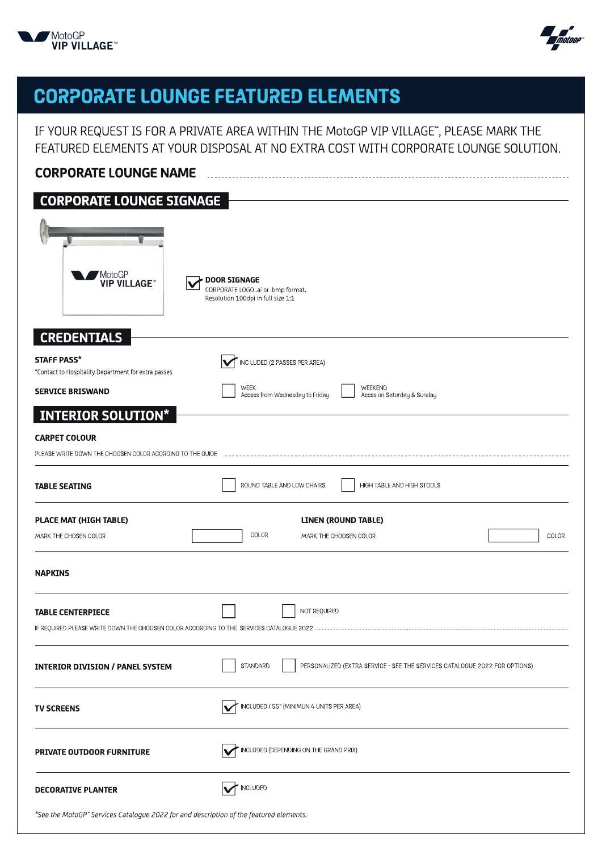



## **CORPORATE LOUNGE FEATURED ELEMENTS**

IF YOUR REQUEST IS FOR A PRIVATE AREA WITHIN THE MotoGP VIP VILLAGE", PLEASE MARK THE FEATURED ELEMENTS AT YOUR DISPOSAL AT NO EXTRA COST WITH CORPORATE LOUNGE SOLUTION.

| <b>CORPORATE LOUNGE NAME</b>                                                                                            |                                                                                               |  |  |
|-------------------------------------------------------------------------------------------------------------------------|-----------------------------------------------------------------------------------------------|--|--|
| <b>CORPORATE LOUNGE SIGNAGE</b>                                                                                         |                                                                                               |  |  |
| MotoGP<br><b>VIP VILLAGE</b>                                                                                            | <b>DOOR SIGNAGE</b><br>CORPORATE LOGO ai or bmp format.<br>Resolution 100dpi in full size 1:1 |  |  |
| <b>CREDENTIALS</b>                                                                                                      |                                                                                               |  |  |
| <b>STAFF PASS*</b><br>*Contact to Hospitality Department for extra passes                                               | INC LUDED (2 PASSES PER AREA)<br>M                                                            |  |  |
| <b>SERVICE BRISWAND</b>                                                                                                 | WEEKEND<br><b>WEEK</b><br>Access from Wednesday to Friday<br>Acces on Saturday & Sunday       |  |  |
| <b>INTERIOR SOLUTION*</b>                                                                                               |                                                                                               |  |  |
| <b>CARPET COLOUR</b><br>PLEASE WRITE DOWN THE CHOOSEN COLOR ACORDING TO THE GUIDE                                       |                                                                                               |  |  |
| <b>TABLE SEATING</b>                                                                                                    | ROUND TABLE AND LOW CHAIRS<br>HIGH TABLE AND HIGH STOOLS                                      |  |  |
| PLACE MAT (HIGH TABLE)                                                                                                  | LINEN (ROUND TABLE)                                                                           |  |  |
| MARK THE CHOSEN COLOR                                                                                                   | COLOR<br>COLOR<br>MARK THE CHOOSEN COLOR                                                      |  |  |
| <b>NAPKINS</b>                                                                                                          |                                                                                               |  |  |
| <b>TABLE CENTERPIECE</b><br>IF REQUIRED PLEASE WRITE DOWN THE CHOOSEN COLOR ACCORDING TO THE SERVICES CATALOGUE 2022 -- | NOT REQUIRED                                                                                  |  |  |
| <b>INTERIOR DIVISION / PANEL SYSTEM</b>                                                                                 | PERSONALIZED (EXTRA SERVICE - SEE THE SERVICES CATALOGUE 2022 FOR OPTIONS)<br>STANDARD        |  |  |
| <b>TV SCREENS</b>                                                                                                       | INCLUDED / 55" (MINIMUN 4 UNITS PER AREA)                                                     |  |  |
| PRIVATE OUTDOOR FURNITURE                                                                                               | INCLUDED (DEPENDING ON THE GRAND PRIX)                                                        |  |  |
| <b>DECORATIVE PLANTER</b>                                                                                               | <b>INCLUDED</b>                                                                               |  |  |
| *See the MotoGP" Services Catalogue 2022 for and description of the featured elements.                                  |                                                                                               |  |  |